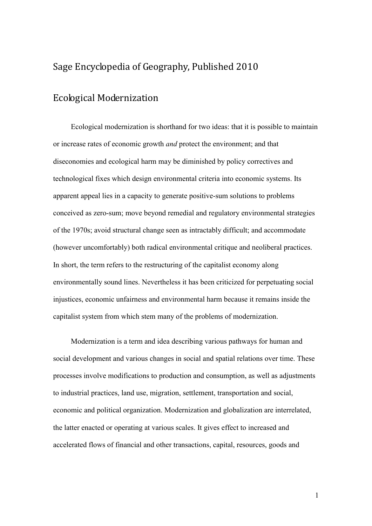## Sage Encyclopedia of Geography, Published 2010

## Ecological Modernization

Ecological modernization is shorthand for two ideas: that it is possible to maintain or increase rates of economic growth *and* protect the environment; and that diseconomies and ecological harm may be diminished by policy correctives and technological fixes which design environmental criteria into economic systems. Its apparent appeal lies in a capacity to generate positive-sum solutions to problems conceived as zero-sum; move beyond remedial and regulatory environmental strategies of the 1970s; avoid structural change seen as intractably difficult; and accommodate (however uncomfortably) both radical environmental critique and neoliberal practices. In short, the term refers to the restructuring of the capitalist economy along environmentally sound lines. Nevertheless it has been criticized for perpetuating social injustices, economic unfairness and environmental harm because it remains inside the capitalist system from which stem many of the problems of modernization.

Modernization is a term and idea describing various pathways for human and social development and various changes in social and spatial relations over time. These processes involve modifications to production and consumption, as well as adjustments to industrial practices, land use, migration, settlement, transportation and social, economic and political organization. Modernization and globalization are interrelated, the latter enacted or operating at various scales. It gives effect to increased and accelerated flows of financial and other transactions, capital, resources, goods and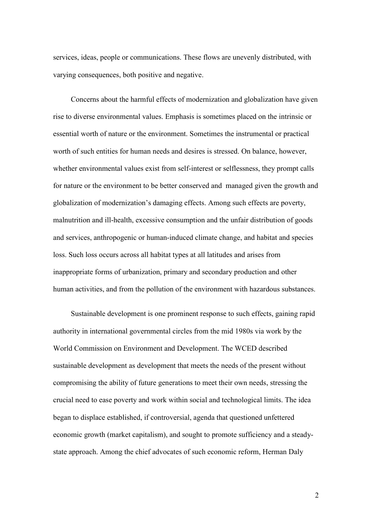services, ideas, people or communications. These flows are unevenly distributed, with varying consequences, both positive and negative.

Concerns about the harmful effects of modernization and globalization have given rise to diverse environmental values. Emphasis is sometimes placed on the intrinsic or essential worth of nature or the environment. Sometimes the instrumental or practical worth of such entities for human needs and desires is stressed. On balance, however, whether environmental values exist from self-interest or selflessness, they prompt calls for nature or the environment to be better conserved and managed given the growth and globalization of modernization's damaging effects. Among such effects are poverty, malnutrition and ill-health, excessive consumption and the unfair distribution of goods and services, anthropogenic or human-induced climate change, and habitat and species loss. Such loss occurs across all habitat types at all latitudes and arises from inappropriate forms of urbanization, primary and secondary production and other human activities, and from the pollution of the environment with hazardous substances.

Sustainable development is one prominent response to such effects, gaining rapid authority in international governmental circles from the mid 1980s via work by the World Commission on Environment and Development. The WCED described sustainable development as development that meets the needs of the present without compromising the ability of future generations to meet their own needs, stressing the crucial need to ease poverty and work within social and technological limits. The idea began to displace established, if controversial, agenda that questioned unfettered economic growth (market capitalism), and sought to promote sufficiency and a steadystate approach. Among the chief advocates of such economic reform, Herman Daly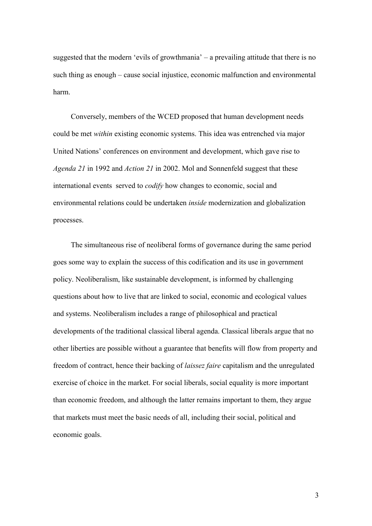suggested that the modern 'evils of growthmania' – a prevailing attitude that there is no such thing as enough – cause social injustice, economic malfunction and environmental harm.

Conversely, members of the WCED proposed that human development needs could be met *within* existing economic systems. This idea was entrenched via major United Nations' conferences on environment and development, which gave rise to *Agenda 21* in 1992 and *Action 21* in 2002. Mol and Sonnenfeld suggest that these international events served to *codify* how changes to economic, social and environmental relations could be undertaken *inside* modernization and globalization processes.

The simultaneous rise of neoliberal forms of governance during the same period goes some way to explain the success of this codification and its use in government policy. Neoliberalism, like sustainable development, is informed by challenging questions about how to live that are linked to social, economic and ecological values and systems. Neoliberalism includes a range of philosophical and practical developments of the traditional classical liberal agenda. Classical liberals argue that no other liberties are possible without a guarantee that benefits will flow from property and freedom of contract, hence their backing of *laissez faire* capitalism and the unregulated exercise of choice in the market. For social liberals, social equality is more important than economic freedom, and although the latter remains important to them, they argue that markets must meet the basic needs of all, including their social, political and economic goals.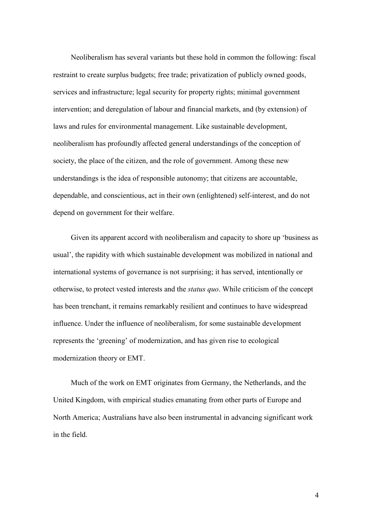Neoliberalism has several variants but these hold in common the following: fiscal restraint to create surplus budgets; free trade; privatization of publicly owned goods, services and infrastructure; legal security for property rights; minimal government intervention; and deregulation of labour and financial markets, and (by extension) of laws and rules for environmental management. Like sustainable development, neoliberalism has profoundly affected general understandings of the conception of society, the place of the citizen, and the role of government. Among these new understandings is the idea of responsible autonomy; that citizens are accountable, dependable, and conscientious, act in their own (enlightened) self-interest, and do not depend on government for their welfare.

Given its apparent accord with neoliberalism and capacity to shore up 'business as usual', the rapidity with which sustainable development was mobilized in national and international systems of governance is not surprising; it has served, intentionally or otherwise, to protect vested interests and the *status quo*. While criticism of the concept has been trenchant, it remains remarkably resilient and continues to have widespread influence. Under the influence of neoliberalism, for some sustainable development represents the 'greening' of modernization, and has given rise to ecological modernization theory or EMT.

Much of the work on EMT originates from Germany, the Netherlands, and the United Kingdom, with empirical studies emanating from other parts of Europe and North America; Australians have also been instrumental in advancing significant work in the field.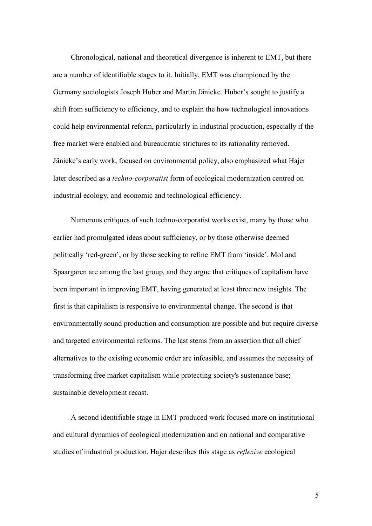Chronological, national and theoretical divergence is inherent to EMT, but there are a number of identifiable stages to it. Initially, EMT was championed by the Germany sociologists Joseph Huber and Martin Jänicke. Huber's sought to justify a shift from sufficiency to efficiency, and to explain the how technological innovations could help environmental reform, particularly in industrial production, especially if the free market were enabled and bureaucratic strictures to its rationality removed. Jänicke's early work, focused on environmental policy, also emphasized what Hajer later described as a *techno-corporatist* form of ecological modernization centred on industrial ecology, and economic and technological efficiency.

Numerous critiques of such techno-corporatist works exist, many by those who earlier had promulgated ideas about sufficiency, or by those otherwise deemed politically 'red-green', or by those seeking to refine EMT from 'inside'. Mol and Spaargaren are among the last group, and they argue that critiques of capitalism have been important in improving EMT, having generated at least three new insights. The first is that capitalism is responsive to environmental change. The second is that environmentally sound production and consumption are possible and but require diverse and targeted environmental reforms. The last stems from an assertion that all chief alternatives to the existing economic order are infeasible, and assumes the necessity of transforming free market capitalism while protecting society's sustenance base; sustainable development recast.

A second identifiable stage in EMT produced work focused more on institutional and cultural dynamics of ecological modernization and on national and comparative studies of industrial production. Hajer describes this stage as *reflexive* ecological

5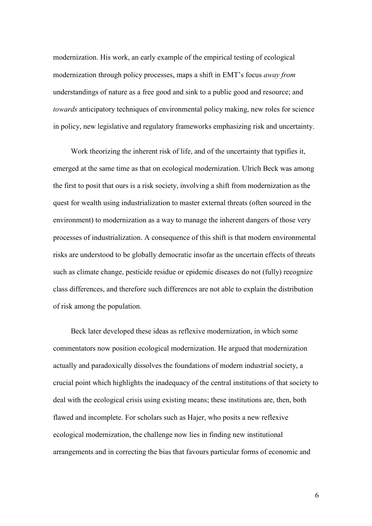modernization. His work, an early example of the empirical testing of ecological modernization through policy processes, maps a shift in EMT's focus *away from* understandings of nature as a free good and sink to a public good and resource; and *towards* anticipatory techniques of environmental policy making, new roles for science in policy, new legislative and regulatory frameworks emphasizing risk and uncertainty.

Work theorizing the inherent risk of life, and of the uncertainty that typifies it, emerged at the same time as that on ecological modernization. Ulrich Beck was among the first to posit that ours is a risk society, involving a shift from modernization as the quest for wealth using industrialization to master external threats (often sourced in the environment) to modernization as a way to manage the inherent dangers of those very processes of industrialization. A consequence of this shift is that modern environmental risks are understood to be globally democratic insofar as the uncertain effects of threats such as climate change, pesticide residue or epidemic diseases do not (fully) recognize class differences, and therefore such differences are not able to explain the distribution of risk among the population.

Beck later developed these ideas as reflexive modernization, in which some commentators now position ecological modernization. He argued that modernization actually and paradoxically dissolves the foundations of modern industrial society, a crucial point which highlights the inadequacy of the central institutions of that society to deal with the ecological crisis using existing means; these institutions are, then, both flawed and incomplete. For scholars such as Hajer, who posits a new reflexive ecological modernization, the challenge now lies in finding new institutional arrangements and in correcting the bias that favours particular forms of economic and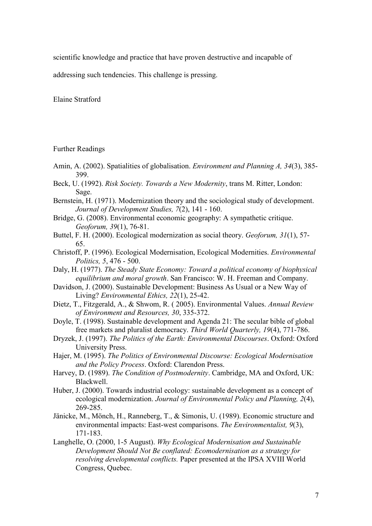scientific knowledge and practice that have proven destructive and incapable of

addressing such tendencies. This challenge is pressing.

Elaine Stratford

Further Readings

- Amin, A. (2002). Spatialities of globalisation. *Environment and Planning A, 34*(3), 385- 399.
- Beck, U. (1992). *Risk Society. Towards a New Modernity*, trans M. Ritter, London: Sage.
- Bernstein, H. (1971). Modernization theory and the sociological study of development. *Journal of Development Studies, 7*(2), 141 - 160.
- Bridge, G. (2008). Environmental economic geography: A sympathetic critique. *Geoforum, 39*(1), 76-81.
- Buttel, F. H. (2000). Ecological modernization as social theory. *Geoforum, 31*(1), 57- 65.
- Christoff, P. (1996). Ecological Modernisation, Ecological Modernities. *Environmental Politics, 5*, 476 - 500.
- Daly, H. (1977). *The Steady State Economy: Toward a political economy of biophysical equilibrium and moral growth*. San Francisco: W. H. Freeman and Company.
- Davidson, J. (2000). Sustainable Development: Business As Usual or a New Way of Living? *Environmental Ethics, 22*(1), 25-42.
- Dietz, T., Fitzgerald, A., & Shwom, R. ( 2005). Environmental Values. *Annual Review of Environment and Resources, 30*, 335-372.
- Doyle, T. (1998). Sustainable development and Agenda 21: The secular bible of global free markets and pluralist democracy. *Third World Quarterly, 19*(4), 771-786.
- Dryzek, J. (1997). *The Politics of the Earth: Environmental Discourses*. Oxford: Oxford University Press.
- Hajer, M. (1995). *The Politics of Environmental Discourse: Ecological Modernisation and the Policy Process*. Oxford: Clarendon Press.
- Harvey, D. (1989). *The Condition of Postmodernity*. Cambridge, MA and Oxford, UK: Blackwell.
- Huber, J. (2000). Towards industrial ecology: sustainable development as a concept of ecological modernization. *Journal of Environmental Policy and Planning, 2*(4), 269-285.
- Jänicke, M., Mönch, H., Ranneberg, T., & Simonis, U. (1989). Economic structure and environmental impacts: East-west comparisons. *The Environmentalist, 9*(3), 171-183.
- Langhelle, O. (2000, 1-5 August). *Why Ecological Modernisation and Sustainable Development Should Not Be conflated: Ecomodernisation as a strategy for resolving developmental conflicts.* Paper presented at the IPSA XVIII World Congress, Quebec.